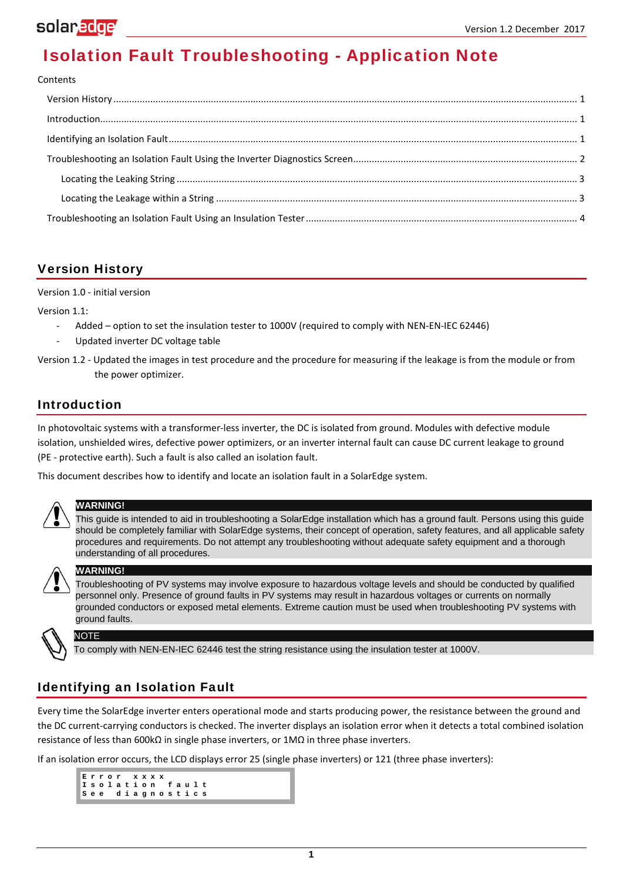# **Isolation Fault Troubleshooting - Application Note**

#### Contents

## <span id="page-0-0"></span>**Version History**

Version 1.0 - initial version

Version 1.1:

- Added option to set the insulation tester to 1000V (required to comply with NEN-EN-IEC 62446)
- Updated inverter DC voltage table
- Version 1.2 Updated the images in test procedure and the procedure for measuring if the leakage is from the module or from the power optimizer.

### <span id="page-0-1"></span>**Introduction**

In photovoltaic systems with a transformer-less inverter, the DC is isolated from ground. Modules with defective module isolation, unshielded wires, defective power optimizers, or an inverter internal fault can cause DC current leakage to ground (PE - protective earth). Such a fault is also called an isolation fault.

This document describes how to identify and locate an isolation fault in a SolarEdge system.



### **WARNING!**

This guide is intended to aid in troubleshooting a SolarEdge installation which has a ground fault. Persons using this guide should be completely familiar with SolarEdge systems, their concept of operation, safety features, and all applicable safety procedures and requirements. Do not attempt any troubleshooting without adequate safety equipment and a thorough understanding of all procedures.



#### **WARNING!**

Troubleshooting of PV systems may involve exposure to hazardous voltage levels and should be conducted by qualified personnel only. Presence of ground faults in PV systems may result in hazardous voltages or currents on normally grounded conductors or exposed metal elements. Extreme caution must be used when troubleshooting PV systems with ground faults.

### NOTE

To comply with NEN-EN-IEC 62446 test the string resistance using the insulation tester at 1000V.

## <span id="page-0-2"></span>**Identifying an Isolation Fault**

Every time the SolarEdge inverter enters operational mode and starts producing power, the resistance between the ground and the DC current-carrying conductors is checked. The inverter displays an isolation error when it detects a total combined isolation resistance of less than 600kΩ in single phase inverters, or 1MΩ in three phase inverters.

If an isolation error occurs, the LCD displays error 25 (single phase inverters) or 121 (three phase inverters):

**Error xxxx**<br>Isolation fault Isolation<br>See diagn **See diagnostics**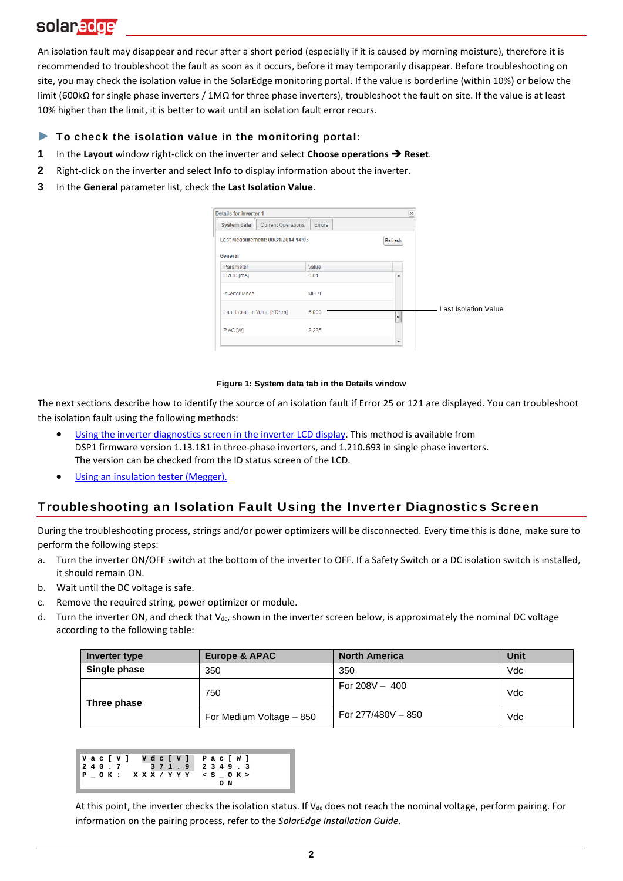An isolation fault may disappear and recur after a short period (especially if it is caused by morning moisture), therefore it is recommended to troubleshoot the fault as soon as it occurs, before it may temporarily disappear. Before troubleshooting on site, you may check the isolation value in the SolarEdge monitoring portal. If the value is borderline (within 10%) or below the limit (600kΩ for single phase inverters / 1MΩ for three phase inverters), troubleshoot the fault on site. If the value is at least 10% higher than the limit, it is better to wait until an isolation fault error recurs.

#### ► **To check the isolation value in the monitoring portal:**

- **1** In the **Layout** window right-click on the inverter and select **Choose operations Reset**.
- **2** Right-click on the inverter and select **Info** to display information about the inverter.
- **3** In the **General** parameter list, check the **Last Isolation Value**.

| <b>Details for Inverter 1</b>                   |               | $\overline{\times}$ |                      |
|-------------------------------------------------|---------------|---------------------|----------------------|
| <b>Current Operations</b><br><b>System data</b> | <b>Errors</b> |                     |                      |
| Last Measurement: 08/31/2014 14:03              |               | Refresh             |                      |
| General<br>Parameter                            | Value         |                     |                      |
| I RCD [mA]                                      | 0.01          | ۰                   |                      |
| <b>Inverter Mode</b>                            | <b>MPPT</b>   |                     |                      |
| Last Isolation Value [KOhm]                     | 6,000         | Ξ                   | Last Isolation Value |
| P AC [W]                                        | 2.235         |                     |                      |
|                                                 |               |                     |                      |

#### **Figure 1: System data tab in the Details window**

The next sections describe how to identify the source of an isolation fault if Error 25 or 121 are displayed. You can troubleshoot the isolation fault using the following methods:

- [Using the inverter diagnostics screen](#page-1-0) in the inverter LCD display. This method is available from DSP1 firmware version 1.13.181 in three-phase inverters, and 1.210.693 in single phase inverters. The version can be checked from the ID status screen of the LCD.
- [Using an insulation tester](#page-3-0) (Megger).

### <span id="page-1-0"></span>**Troubleshooting an Isolation Fault Using the Inverter Diagnostics Screen**

During the troubleshooting process, strings and/or power optimizers will be disconnected. Every time this is done, make sure to perform the following steps:

- <span id="page-1-1"></span>a. Turn the inverter ON/OFF switch at the bottom of the inverter to OFF. If a Safety Switch or a DC isolation switch is installed, it should remain ON.
- b. Wait until the DC voltage is safe.
- c. Remove the required string, power optimizer or module.
- <span id="page-1-2"></span>d. Turn the inverter ON, and check that V<sub>dc</sub>, shown in the inverter screen below, is approximately the nominal DC voltage according to the following table:

| Inverter type | <b>Europe &amp; APAC</b> | <b>North America</b> | Unit |
|---------------|--------------------------|----------------------|------|
| Single phase  | 350                      | 350                  | Vdc  |
| Three phase   | 750                      | For $208V - 400$     | Vdc  |
|               | For Medium Voltage - 850 | For 277/480V - 850   | Vdc  |

|  |  |  |  |  |  |  | Vac[V] Vdc[V] Pac[W]       |    |  |  |
|--|--|--|--|--|--|--|----------------------------|----|--|--|
|  |  |  |  |  |  |  | $240.7$ $371.9$ $2349.3$   |    |  |  |
|  |  |  |  |  |  |  | POK: XXX/YYY <s ok=""></s> |    |  |  |
|  |  |  |  |  |  |  |                            | oм |  |  |

At this point, the inverter checks the isolation status. If  $V_{dc}$  does not reach the nominal voltage, perform pairing. For information on the pairing process, refer to the *SolarEdge Installation Guide*.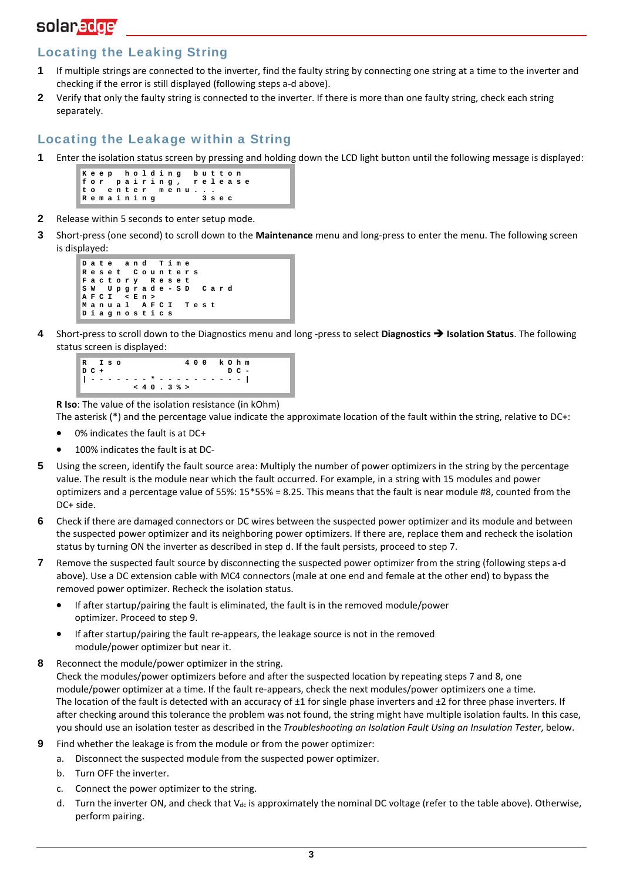## <span id="page-2-0"></span>**Locating the Leaking String**

- **1** If multiple strings are connected to the inverter, find the faulty string by connecting one string at a time to the inverter and checking if the error is still displayed (following step[s a](#page-1-1)[-d a](#page-1-2)bove).
- **2** Verify that only the faulty string is connected to the inverter. If there is more than one faulty string, check each string separately.

### <span id="page-2-1"></span>**Locating the Leakage w ithin a String**

**1** Enter the isolation status screen by pressing and holding down the LCD light button until the following message is displayed:

|  |  |  |           |  | Keep holding button |  |         |  |                      |  |
|--|--|--|-----------|--|---------------------|--|---------|--|----------------------|--|
|  |  |  |           |  |                     |  |         |  | for pairing, release |  |
|  |  |  |           |  | to enter menu       |  |         |  |                      |  |
|  |  |  | Remaining |  |                     |  | 3 s e c |  |                      |  |

- **2** Release within 5 seconds to enter setup mode.
- **3** Short-press (one second) to scroll down to the **Maintenance** menu and long-press to enter the menu. The following screen is displayed:

```
Date and Time
       Reset Counters
Factory Reset 
SW Upgrade - SD Card
AFCI <En>
Manual AFCI T
Diagnostics
```
**4** Short-press to scroll down to the Diagnostics menu and long -press to select **Diagnostics Isolation Status**. The following status screen is displayed:

```
R Iso 400 kOhm
       D C + D C - 
| ------- * ---------- | 
       <40 . 3 %>
```
**R Iso**: The value of the isolation resistance (in kOhm)

The asterisk (\*) and the percentage value indicate the approximate location of the fault within the string, relative to DC+:

- 0% indicates the fault is at DC+
- 100% indicates the fault is at DC-
- **5** Using the screen, identify the fault source area: Multiply the number of power optimizers in the string by the percentage value. The result is the module near which the fault occurred. For example, in a string with 15 modules and power optimizers and a percentage value of 55%: 15\*55% = 8.25. This means that the fault is near module #8, counted from the DC+ side.
- **6** Check if there are damaged connectors or DC wires between the suspected power optimizer and its module and between the suspected power optimizer and its neighboring power optimizers. If there are, replace them and recheck the isolation status by turning ON the inverter as described in step d. If the fault persists, proceed to step [7.](#page-2-2)
- <span id="page-2-2"></span>**7** Remove the suspected fault source by disconnecting the suspected power optimizer from the string (following steps [a-](#page-1-1)[d](#page-1-2)  above). Use a DC extension cable with MC4 connectors (male at one end and female at the other end) to bypass the removed power optimizer. Recheck the isolation status.
	- If after startup/pairing the fault is eliminated, the fault is in the removed module/power optimizer. Proceed to ste[p 9.](#page-2-3)
	- If after startup/pairing the fault re-appears, the leakage source is not in the removed module/power optimizer but near it.
- <span id="page-2-4"></span>**8** Reconnect the module/power optimizer in the string. Check the modules/power optimizers before and after the suspected location by repeating step[s 7 a](#page-2-2)n[d 8,](#page-2-4) one module/power optimizer at a time. If the fault re-appears, check the next modules/power optimizers one a time. The location of the fault is detected with an accuracy of  $\pm 1$  for single phase inverters and  $\pm 2$  for three phase inverters. If after checking around this tolerance the problem was not found, the string might have multiple isolation faults. In this case, you should use an isolation tester as described in the *[Troubleshooting an Isolation Fault Using an Insulation Tester](#page-3-0)*, below.
- <span id="page-2-3"></span>**9** Find whether the leakage is from the module or from the power optimizer:
	- a. Disconnect the suspected module from the suspected power optimizer.
	- b. Turn OFF the inverter.
	- c. Connect the power optimizer to the string.
	- d. Turn the inverter ON, and check that  $V_{dc}$  is approximately the nominal DC voltage (refer to the table above). Otherwise, perform pairing.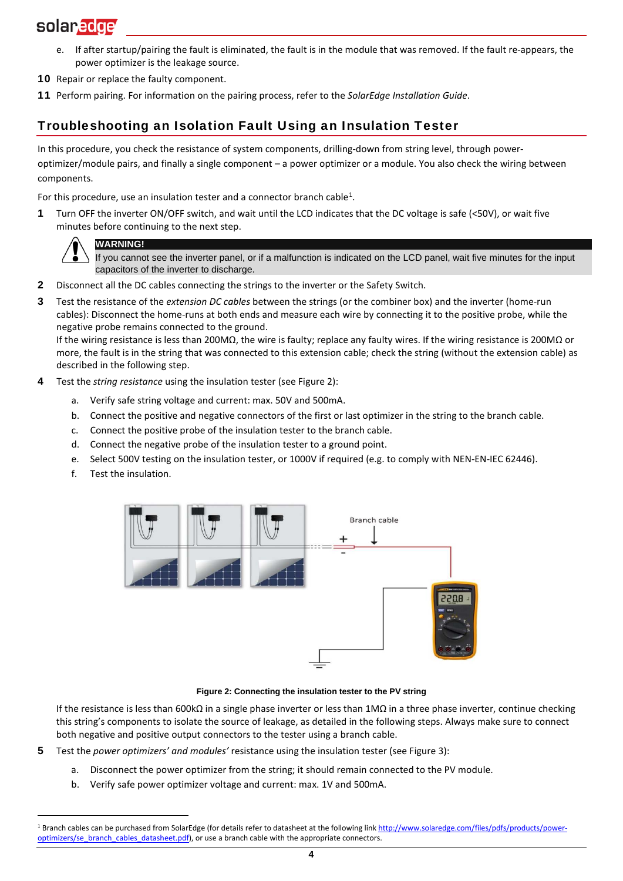- e. If after startup/pairing the fault is eliminated, the fault is in the module that was removed. If the fault re-appears, the power optimizer is the leakage source.
- 10 Repair or replace the faulty component.
- <span id="page-3-0"></span>**11** Perform pairing. For information on the pairing process, refer to the *SolarEdge Installation Guide*.

## **Troubleshooting an Isolation Fault Using an Insulation Tester**

In this procedure, you check the resistance of system components, drilling-down from string level, through poweroptimizer/module pairs, and finally a single component – a power optimizer or a module. You also check the wiring between components.

For this procedure, use an insulation tester and a connector branch cable<sup>[1](#page-3-2)</sup>.

**1** Turn OFF the inverter ON/OFF switch, and wait until the LCD indicates that the DC voltage is safe (<50V), or wait five minutes before continuing to the next step.



If you cannot see the inverter panel, or if a malfunction is indicated on the LCD panel, wait five minutes for the input capacitors of the inverter to discharge.

- **2** Disconnect all the DC cables connecting the strings to the inverter or the Safety Switch.
- **3** Test the resistance of the *extension DC cables* between the strings (or the combiner box) and the inverter (home-run cables): Disconnect the home-runs at both ends and measure each wire by connecting it to the positive probe, while the negative probe remains connected to the ground.

If the wiring resistance is less than 200MΩ, the wire is faulty; replace any faulty wires. If the wiring resistance is 200MΩ or more, the fault is in the string that was connected to this extension cable; check the string (without the extension cable) as described in the following step.

- **4** Test the *string resistance* using the insulation tester (see [Figure 2\)](#page-3-1):
	- a. Verify safe string voltage and current: max. 50V and 500mA.
	- b. Connect the positive and negative connectors of the first or last optimizer in the string to the branch cable.
	- c. Connect the positive probe of the insulation tester to the branch cable.
	- d. Connect the negative probe of the insulation tester to a ground point.
	- e. Select 500V testing on the insulation tester, or 1000V if required (e.g. to comply with NEN-EN-IEC 62446).
	- f. Test the insulation.

1



#### <span id="page-3-1"></span>**Figure 2: Connecting the insulation tester to the PV string**

If the resistance is less than 600kΩ in a single phase inverter or less than 1MΩ in a three phase inverter, continue checking this string's components to isolate the source of leakage, as detailed in the following steps. Always make sure to connect both negative and positive output connectors to the tester using a branch cable.

- **5** Test the *power optimizers' and modules'* resistance using the insulation tester (se[e Figure 3\)](#page-4-0):
	- a. Disconnect the power optimizer from the string; it should remain connected to the PV module.
	- b. Verify safe power optimizer voltage and current: max. 1V and 500mA.

<span id="page-3-2"></span><sup>&</sup>lt;sup>1</sup> Branch cables can be purchased from SolarEdge (for details refer to datasheet at the following link [http://www.solaredge.com/files/pdfs/products/power](http://www.solaredge.com/files/pdfs/products/power-optimizers/se_branch_cables_datasheet.pdf)[optimizers/se\\_branch\\_cables\\_datasheet.pdf\),](http://www.solaredge.com/files/pdfs/products/power-optimizers/se_branch_cables_datasheet.pdf) or use a branch cable with the appropriate connectors.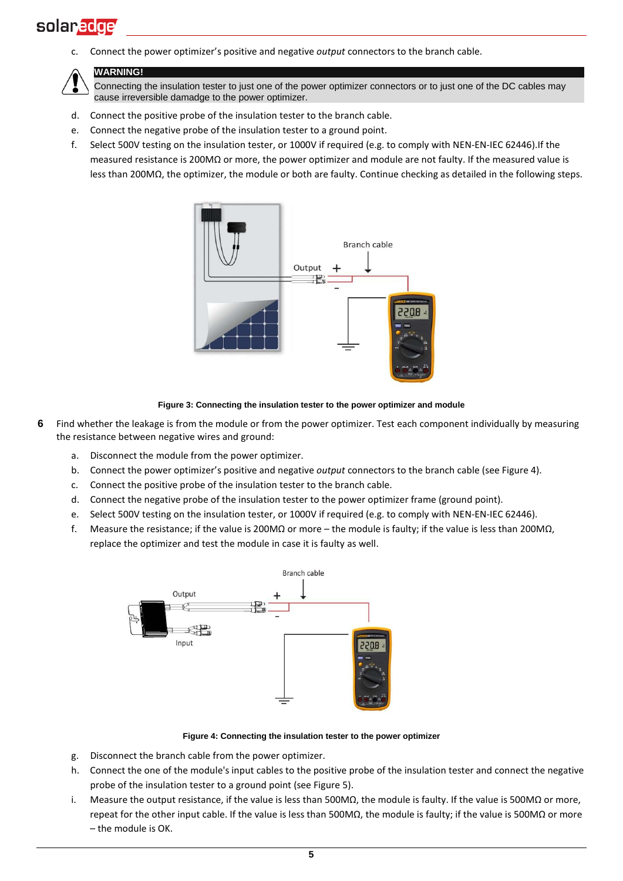c. Connect the power optimizer's positive and negative *output* connectors to the branch cable.



#### **WARNING!**

Connecting the insulation tester to just one of the power optimizer connectors or to just one of the DC cables may cause irreversible damadge to the power optimizer.

- d. Connect the positive probe of the insulation tester to the branch cable.
- e. Connect the negative probe of the insulation tester to a ground point.
- f. Select 500V testing on the insulation tester, or 1000V if required (e.g. to comply with NEN-EN-IEC 62446).If the measured resistance is 200MΩ or more, the power optimizer and module are not faulty. If the measured value is less than 200MΩ, the optimizer, the module or both are faulty. Continue checking as detailed in the following steps.



**Figure 3: Connecting the insulation tester to the power optimizer and module**

- <span id="page-4-0"></span>**6** Find whether the leakage is from the module or from the power optimizer. Test each component individually by measuring the resistance between negative wires and ground:
	- a. Disconnect the module from the power optimizer.
	- b. Connect the power optimizer's positive and negative *output* connectors to the branch cable (see [Figure 4\)](#page-4-1).
	- c. Connect the positive probe of the insulation tester to the branch cable.
	- d. Connect the negative probe of the insulation tester to the power optimizer frame (ground point).
	- e. Select 500V testing on the insulation tester, or 1000V if required (e.g. to comply with NEN-EN-IEC 62446).
	- f. Measure the resistance; if the value is 200M $\Omega$  or more the module is faulty; if the value is less than 200M $\Omega$ , replace the optimizer and test the module in case it is faulty as well.



**Figure 4: Connecting the insulation tester to the power optimizer**

- <span id="page-4-1"></span>g. Disconnect the branch cable from the power optimizer.
- h. Connect the one of the module's input cables to the positive probe of the insulation tester and connect the negative probe of the insulation tester to a ground point (see [Figure 5\)](#page-5-0).
- i. Measure the output resistance, if the value is less than 500MΩ, the module is faulty. If the value is 500MΩ or more, repeat for the other input cable. If the value is less than 500MΩ, the module is faulty; if the value is 500MΩ or more – the module is OK.